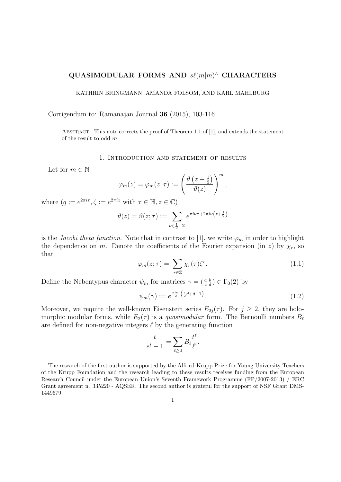# **QUASIMODULAR FORMS AND** *sℓ*(*m|m*) *<sup>∧</sup>* **CHARACTERS**

#### KATHRIN BRINGMANN, AMANDA FOLSOM, AND KARL MAHLBURG

#### Corrigendum to: Ramanajan Journal **36** (2015), 103-116

ABSTRACT. This note corrects the proof of Theorem 1.1 of  $[1]$ , and extends the statement of the result to odd *m*.

#### 1. Introduction and statement of results

Let for  $m \in \mathbb{N}$ 

$$
\varphi_m(z) = \varphi_m(z;\tau) := \left(\frac{\vartheta\left(z + \frac{1}{2}\right)}{\vartheta(z)}\right)^m,
$$

where  $(q := e^{2\pi i \tau}, \zeta := e^{2\pi i z}$  with  $\tau \in \mathbb{H}, z \in \mathbb{C}$ )

$$
\vartheta(z) = \vartheta(z;\tau) := \sum_{\nu \in \frac{1}{2} + \mathbb{Z}} e^{\pi i \nu \tau + 2\pi i \nu \left(z + \frac{1}{2}\right)}
$$

is the *Jacobi theta function*. Note that in contrast to [1], we write  $\varphi_m$  in order to highlight the dependence on *m*. Denote the coefficients of the Fourier expansion (in *z*) by  $\chi_r$ , so that

$$
\varphi_m(z;\tau) =: \sum_{r \in \mathbb{Z}} \chi_r(\tau) \zeta^r. \tag{1.1}
$$

Define the Nebentypus character  $\psi_m$  for matrices  $\gamma = \begin{pmatrix} a & b \\ c & d \end{pmatrix} \in \Gamma_0(2)$  by

$$
\psi_m(\gamma) := e^{\frac{\pi i m}{2} \left(\frac{c}{2}d + d - 1\right)}.\tag{1.2}
$$

Moreover, we require the well-known Eisenstein series  $E_{2i}(\tau)$ . For  $j \geq 2$ , they are holomorphic modular forms, while  $E_2(\tau)$  is a *quasimodular* form. The Bernoulli numbers  $B_\ell$ are defined for non-negative integers *ℓ* by the generating function

$$
\frac{t}{e^t - 1} = \sum_{\ell \ge 0} B_{\ell} \frac{t^{\ell}}{\ell!}.
$$

The research of the first author is supported by the Alfried Krupp Prize for Young University Teachers of the Krupp Foundation and the research leading to these results receives funding from the European Research Council under the European Union's Seventh Framework Programme (FP/2007-2013) / ERC Grant agreement n. 335220 - AQSER. The second author is grateful for the support of NSF Grant DMS-1449679.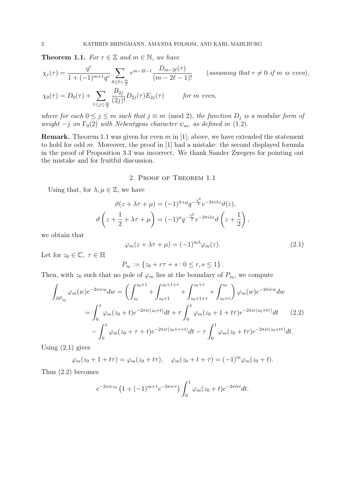**Theorem 1.1.** *For*  $r \in \mathbb{Z}$  *and*  $m \in \mathbb{N}$ *, we have* 

$$
\chi_r(\tau) = \frac{q^r}{1 + (-1)^{m+1} q^r} \sum_{0 \le \ell < \frac{m}{2}} r^{m-2\ell-1} \frac{D_{m-2\ell}(\tau)}{(m-2\ell-1)!} \qquad \text{(assuming that } r \ne 0 \text{ if } m \text{ is even)},
$$

$$
\chi_0(\tau) = D_0(\tau) + \sum_{1 \le j \le \frac{m}{2}} \frac{B_{2j}}{(2j)!} D_{2j}(\tau) E_{2j}(\tau) \quad \text{for } m \text{ even,}
$$

*where for each*  $0 \leq j \leq m$  *such that*  $j \equiv m \pmod{2}$ , the function  $D_j$  is a modular form of *weight*  $-j$  *on*  $\Gamma_0(2)$  *with Nebentypus character*  $\psi_m$ *, as defined in* (1.2)*.* 

**Remark.** Theorem 1.1 was given for even *m* in [1]; above, we have extended the statement to hold for odd *m*. Moreover, the proof in [1] had a mistake: the second displayed formula in the proof of Proposition 3.3 was incorrect. We thank Sander Zwegers for pointing out the mistake and for fruitful discussion.

## 2. Proof of Theorem 1.1

Using that, for  $\lambda, \mu \in \mathbb{Z}$ , we have

$$
\vartheta(z + \lambda \tau + \mu) = (-1)^{\lambda + \mu} q^{-\frac{\lambda^2}{2}} e^{-2\pi i \lambda z} \vartheta(z),
$$

$$
\vartheta\left(z + \frac{1}{2} + \lambda \tau + \mu\right) = (-1)^{\mu} q^{-\frac{\lambda^2}{2}} e^{-2\pi i \lambda z} \vartheta\left(z + \frac{1}{2}\right),
$$

we obtain that

$$
\varphi_m(z + \lambda \tau + \mu) = (-1)^{m\lambda} \varphi_m(z). \tag{2.1}
$$

Let for  $z_0 \in \mathbb{C}, \tau \in \mathbb{H}$ 

$$
P_{z_0} := \{ z_0 + r\tau + s : 0 \le r, s \le 1 \}.
$$

Then, with  $z_0$  such that no pole of  $\varphi_m$  lies at the boundary of  $P_{z_0}$ , we compute

$$
\int_{\partial P_{z_0}} \varphi_m(w) e^{-2\pi i r w} dw = \left( \int_{z_0}^{z_0+1} + \int_{z_0+1}^{z_0+1+r} + \int_{z_0+1+r}^{z_0+r} + \int_{z_0+\tau}^{z_0} \varphi_m(w) e^{-2\pi i r w} dw \right)
$$

$$
= \int_0^1 \varphi_m(z_0+t) e^{-2\pi i r (z_0+t)} dt + \tau \int_0^1 \varphi_m(z_0+1+t\tau) e^{-2\pi i r (z_0+t\tau)} dt \qquad (2.2)
$$

$$
- \int_0^1 \varphi_m(z_0+\tau+t) e^{-2\pi i r (z_0+\tau+t)} dt - \tau \int_0^1 \varphi_m(z_0+t\tau) e^{-2\pi i r (z_0+t\tau)} dt.
$$

Using  $(2.1)$  gives

$$
\varphi_m(z_0 + 1 + t\tau) = \varphi_m(z_0 + t\tau), \quad \varphi_m(z_0 + t + \tau) = (-1)^m \varphi_m(z_0 + t).
$$

Thus (2.2) becomes

$$
e^{-2\pi irz_0}
$$
  $\left(1+(-1)^{m+1}e^{-2\pi ir\tau}\right)\int_0^1 \varphi_m(z_0+t)e^{-2\pi irt}dt.$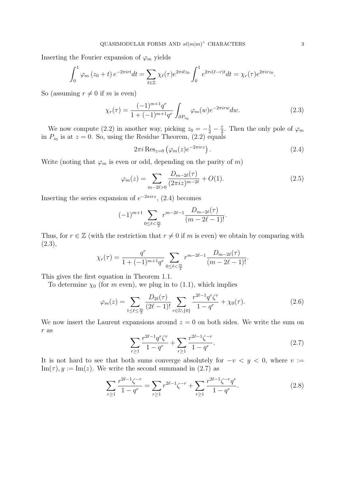Inserting the Fourier expansion of  $\varphi_m$  yields

$$
\int_0^1 \varphi_m(z_0+t) e^{-2\pi i r t} dt = \sum_{\ell \in \mathbb{Z}} \chi_{\ell}(\tau) e^{2\pi i \ell z_0} \int_0^1 e^{2\pi i (\ell-r)t} dt = \chi_r(\tau) e^{2\pi i r z_0}.
$$

So (assuming  $r \neq 0$  if *m* is even)

$$
\chi_r(\tau) = \frac{(-1)^{m+1} q^r}{1 + (-1)^{m+1} q^r} \int_{\partial P_{z_0}} \varphi_m(w) e^{-2\pi i r w} dw.
$$
 (2.3)

We now compute (2.2) in another way, picking  $z_0 = -\frac{1}{2} - \frac{\tau}{2}$  $\frac{\tau}{2}$ . Then the only pole of  $\varphi_m$ in  $P_{z_0}$  is at  $z = 0$ . So, using the Residue Theorem,  $(2.2)$  equals

$$
2\pi i \operatorname{Res}_{z=0} \left( \varphi_m(z) e^{-2\pi i rz} \right). \tag{2.4}
$$

Write (noting that  $\varphi_m$  is even or odd, depending on the parity of *m*)

$$
\varphi_m(z) = \sum_{m-2\ell>0} \frac{D_{m-2\ell}(\tau)}{(2\pi i z)^{m-2\ell}} + O(1). \tag{2.5}
$$

Inserting the series expansion of  $e^{-2\pi irz}$ , (2.4) becomes

$$
(-1)^{m+1} \sum_{0 \le \ell < \frac{m}{2}} r^{m-2\ell-1} \frac{D_{m-2\ell}(\tau)}{(m-2\ell-1)!}.
$$

Thus, for  $r \in \mathbb{Z}$  (with the restriction that  $r \neq 0$  if *m* is even) we obtain by comparing with  $(2.3),$ 

$$
\chi_r(\tau) = \frac{q^r}{1 + (-1)^{m+1}q^r} \sum_{0 \le \ell < \frac{m}{2}} r^{m-2\ell-1} \frac{D_{m-2\ell}(\tau)}{(m-2\ell-1)!}.
$$

This gives the first equation in Theorem 1.1.

To determine  $\chi_0$  (for *m* even), we plug in to (1.1), which implies

$$
\varphi_m(z) = \sum_{1 \le \ell \le \frac{m}{2}} \frac{D_{2\ell}(\tau)}{(2\ell - 1)!} \sum_{r \in \mathbb{Z} \setminus \{0\}} \frac{r^{2\ell - 1} q^r \zeta^r}{1 - q^r} + \chi_0(\tau). \tag{2.6}
$$

We now insert the Laurent expansions around  $z = 0$  on both sides. We write the sum on *r* as

$$
\sum_{r\geq 1} \frac{r^{2\ell-1} q^r \zeta^r}{1-q^r} + \sum_{r\geq 1} \frac{r^{2\ell-1} \zeta^{-r}}{1-q^r}.
$$
\n(2.7)

It is not hard to see that both sums converge absolutely for  $-v < y < 0$ , where  $v :=$  $\text{Im}(\tau), y := \text{Im}(z)$ . We write the second summand in (2.7) as

$$
\sum_{r\geq 1} \frac{r^{2\ell-1}\zeta^{-r}}{1-q^r} = \sum_{r\geq 1} r^{2\ell-1}\zeta^{-r} + \sum_{r\geq 1} \frac{r^{2\ell-1}\zeta^{-r}q^r}{1-q^r}.
$$
\n(2.8)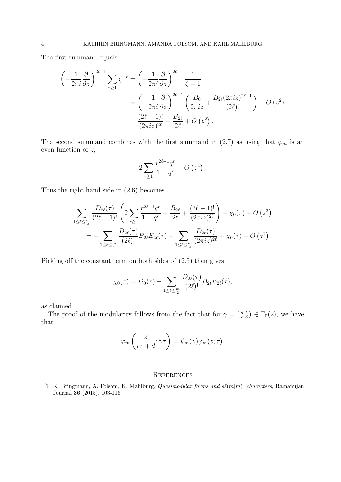The first summand equals

$$
\begin{split}\n\left(-\frac{1}{2\pi i}\frac{\partial}{\partial z}\right)^{2\ell-1} \sum_{r\geq 1} \zeta^{-r} &= \left(-\frac{1}{2\pi i}\frac{\partial}{\partial z}\right)^{2\ell-1} \frac{1}{\zeta-1} \\
&= \left(-\frac{1}{2\pi i}\frac{\partial}{\partial z}\right)^{2\ell-1} \left(\frac{B_0}{2\pi i z} + \frac{B_{2\ell}(2\pi i z)^{2\ell-1}}{(2\ell)!}\right) + O\left(z^2\right) \\
&= \frac{(2\ell-1)!}{(2\pi i z)^{2\ell}} - \frac{B_{2\ell}}{2\ell} + O\left(z^2\right).\n\end{split}
$$

The second summand combines with the first summand in (2.7) as using that  $\varphi_m$  is an even function of *z*,

$$
2\sum_{r\geq 1} \frac{r^{2\ell-1}q^r}{1-q^r} + O\left(z^2\right).
$$

Thus the right hand side in (2.6) becomes

$$
\sum_{1 \leq \ell \leq \frac{m}{2}} \frac{D_{2\ell}(\tau)}{(2\ell-1)!} \left( 2 \sum_{r \geq 1} \frac{r^{2\ell-1}q^r}{1-q^r} - \frac{B_{2\ell}}{2\ell} + \frac{(2\ell-1)!}{(2\pi i z)^{2\ell}} \right) + \chi_0(\tau) + O(z^2) \n= - \sum_{1 \leq \ell \leq \frac{m}{2}} \frac{D_{2\ell}(\tau)}{(2\ell)!} B_{2\ell} E_{2\ell}(\tau) + \sum_{1 \leq \ell \leq \frac{m}{2}} \frac{D_{2\ell}(\tau)}{(2\pi i z)^{2\ell}} + \chi_0(\tau) + O(z^2) .
$$

Picking off the constant term on both sides of (2.5) then gives

$$
\chi_0(\tau) = D_0(\tau) + \sum_{1 \leq \ell \leq \frac{m}{2}} \frac{D_{2\ell}(\tau)}{(2\ell)!} B_{2\ell} E_{2\ell}(\tau),
$$

as claimed.

The proof of the modularity follows from the fact that for  $\gamma = \begin{pmatrix} a & b \\ c & d \end{pmatrix} \in \Gamma_0(2)$ , we have that

$$
\varphi_m\left(\frac{z}{c\tau+d};\gamma\tau\right) = \psi_m(\gamma)\varphi_m(z;\tau).
$$

### **REFERENCES**

[1] K. Bringmann, A. Folsom, K. Mahlburg, *Quasimodular forms and sℓ*(*m|m*)ˆ *characters*, Ramanujan Journal **36** (2015), 103-116.